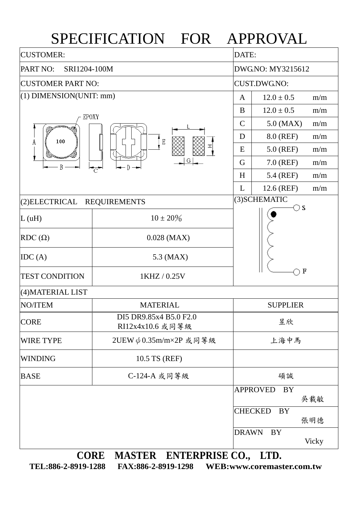## SPECIFICATION FOR APPROVAL

| <b>CUSTOMER:</b>                                                                                                                                                                    |  |                   | DATE:                                                                                                                                                                                                                                                                                                                                                                                                                                                                  |              |  |  |
|-------------------------------------------------------------------------------------------------------------------------------------------------------------------------------------|--|-------------------|------------------------------------------------------------------------------------------------------------------------------------------------------------------------------------------------------------------------------------------------------------------------------------------------------------------------------------------------------------------------------------------------------------------------------------------------------------------------|--------------|--|--|
| PART NO:<br>SRI1204-100M                                                                                                                                                            |  | DWG.NO: MY3215612 |                                                                                                                                                                                                                                                                                                                                                                                                                                                                        |              |  |  |
| <b>CUSTOMER PART NO:</b>                                                                                                                                                            |  |                   | <b>CUST.DWG.NO:</b>                                                                                                                                                                                                                                                                                                                                                                                                                                                    |              |  |  |
|                                                                                                                                                                                     |  | $\mathbf{A}$      | $12.0 \pm 0.5$                                                                                                                                                                                                                                                                                                                                                                                                                                                         |              |  |  |
|                                                                                                                                                                                     |  | B                 | $12.0 \pm 0.5$                                                                                                                                                                                                                                                                                                                                                                                                                                                         |              |  |  |
|                                                                                                                                                                                     |  | $\mathsf{C}$      | $5.0$ (MAX)                                                                                                                                                                                                                                                                                                                                                                                                                                                            |              |  |  |
|                                                                                                                                                                                     |  |                   | m/m<br>m/m<br>m/m<br>8.0 (REF)<br>D<br>m/m<br>$\mathbf E$<br>$5.0$ (REF)<br>m/m<br>E<br>G<br>7.0 (REF)<br>G<br>m/m<br>5.4 (REF)<br>H<br>m/m<br>12.6 (REF)<br>m/m<br>L<br>(3) SCHEMATIC<br>⊝ s<br>$10 \pm 20\%$<br>$0.028$ (MAX)<br>5.3 (MAX)<br>$\bf{F}$<br>1KHZ / 0.25V<br><b>MATERIAL</b><br><b>SUPPLIER</b><br>昱欣<br>上海中馬<br>10.5 TS (REF)<br>C-124-A 或同等級<br>碩誠<br><b>APPROVED</b><br><b>BY</b><br>吳載敏<br><b>CHECKED</b><br><b>BY</b><br>張明德<br><b>DRAWN</b><br>BY |              |  |  |
| $(1)$ DIMENSION(UNIT: mm)<br>EPOXY<br>100<br>A<br>B<br>$\mathbb{D} \rightarrow$<br><b>REQUIREMENTS</b><br>DI5 DR9.85x4 B5.0 F2.0<br>RI12x4x10.6 或同等級<br>2UEW $\phi$ 0.35m/m×2P 或同等級 |  |                   |                                                                                                                                                                                                                                                                                                                                                                                                                                                                        |              |  |  |
|                                                                                                                                                                                     |  |                   |                                                                                                                                                                                                                                                                                                                                                                                                                                                                        |              |  |  |
|                                                                                                                                                                                     |  |                   |                                                                                                                                                                                                                                                                                                                                                                                                                                                                        |              |  |  |
|                                                                                                                                                                                     |  |                   |                                                                                                                                                                                                                                                                                                                                                                                                                                                                        |              |  |  |
| (2) ELECTRICAL<br>L(uH)                                                                                                                                                             |  |                   |                                                                                                                                                                                                                                                                                                                                                                                                                                                                        |              |  |  |
|                                                                                                                                                                                     |  |                   |                                                                                                                                                                                                                                                                                                                                                                                                                                                                        |              |  |  |
| $RDC(\Omega)$                                                                                                                                                                       |  |                   |                                                                                                                                                                                                                                                                                                                                                                                                                                                                        |              |  |  |
| IDC(A)                                                                                                                                                                              |  |                   |                                                                                                                                                                                                                                                                                                                                                                                                                                                                        |              |  |  |
| <b>TEST CONDITION</b>                                                                                                                                                               |  |                   |                                                                                                                                                                                                                                                                                                                                                                                                                                                                        |              |  |  |
| (4) MATERIAL LIST                                                                                                                                                                   |  |                   |                                                                                                                                                                                                                                                                                                                                                                                                                                                                        |              |  |  |
| NO/ITEM                                                                                                                                                                             |  |                   |                                                                                                                                                                                                                                                                                                                                                                                                                                                                        |              |  |  |
| <b>CORE</b>                                                                                                                                                                         |  |                   |                                                                                                                                                                                                                                                                                                                                                                                                                                                                        |              |  |  |
| <b>WIRE TYPE</b>                                                                                                                                                                    |  |                   |                                                                                                                                                                                                                                                                                                                                                                                                                                                                        |              |  |  |
| <b>WINDING</b>                                                                                                                                                                      |  |                   |                                                                                                                                                                                                                                                                                                                                                                                                                                                                        |              |  |  |
| <b>BASE</b>                                                                                                                                                                         |  |                   |                                                                                                                                                                                                                                                                                                                                                                                                                                                                        |              |  |  |
|                                                                                                                                                                                     |  |                   |                                                                                                                                                                                                                                                                                                                                                                                                                                                                        |              |  |  |
|                                                                                                                                                                                     |  |                   |                                                                                                                                                                                                                                                                                                                                                                                                                                                                        |              |  |  |
|                                                                                                                                                                                     |  |                   |                                                                                                                                                                                                                                                                                                                                                                                                                                                                        |              |  |  |
|                                                                                                                                                                                     |  |                   |                                                                                                                                                                                                                                                                                                                                                                                                                                                                        | <b>Vicky</b> |  |  |

**CORE MASTER ENTERPRISE CO., LTD. TEL:886-2-8919-1288 FAX:886-2-8919-1298 WEB:www.coremaster.com.tw**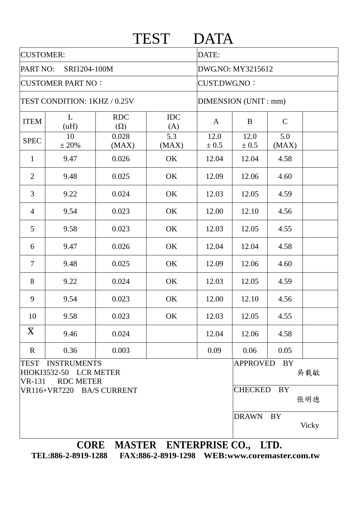| <b>CUSTOMER:</b>             |                                                                  |                          |                                             | DATE:             |                 |                  |       |  |  |
|------------------------------|------------------------------------------------------------------|--------------------------|---------------------------------------------|-------------------|-----------------|------------------|-------|--|--|
| PART NO:<br>SRI1204-100M     |                                                                  |                          |                                             | DWG.NO: MY3215612 |                 |                  |       |  |  |
| <b>CUSTOMER PART NO:</b>     |                                                                  |                          | <b>CUST.DWG.NO:</b><br>DIMENSION (UNIT: mm) |                   |                 |                  |       |  |  |
| TEST CONDITION: 1KHZ / 0.25V |                                                                  |                          |                                             |                   |                 |                  |       |  |  |
| <b>ITEM</b>                  | L<br>(uH)                                                        | <b>RDC</b><br>$(\Omega)$ | <b>IDC</b><br>(A)                           | A                 | B               | $\mathsf{C}$     |       |  |  |
| <b>SPEC</b>                  | 10<br>± 20%                                                      | 0.028<br>(MAX)           | 5.3<br>(MAX)                                | 12.0<br>± 0.5     | 12.0<br>± 0.5   | 5.0<br>(MAX)     |       |  |  |
| $\mathbf{1}$                 | 9.47                                                             | 0.026                    | OK                                          | 12.04             | 12.04           | 4.58             |       |  |  |
| $\overline{2}$               | 9.48                                                             | 0.025                    | OK                                          | 12.09             | 12.06           | 4.60             |       |  |  |
| $\overline{3}$               | 9.22                                                             | 0.024                    | OK                                          | 12.03             | 12.05           | 4.59             |       |  |  |
| $\overline{4}$               | 9.54                                                             | 0.023                    | OK                                          | 12.00             | 12.10           | 4.56             |       |  |  |
| 5                            | 9.58                                                             | 0.023                    | OK                                          | 12.03             | 12.05           | 4.55             |       |  |  |
| 6                            | 9.47                                                             | 0.026                    | OK                                          | 12.04             | 12.04           | 4.58             |       |  |  |
| $\overline{\mathcal{L}}$     | 9.48                                                             | 0.025                    | OK                                          | 12.09             | 12.06           | 4.60             |       |  |  |
| 8                            | 9.22                                                             | 0.024                    | OK                                          | 12.03             | 12.05           | 4.59             |       |  |  |
| 9                            | 9.54                                                             | 0.023                    | OK                                          | 12.00             | 12.10           | 4.56             |       |  |  |
| 10                           | 9.58                                                             | 0.023                    | OK                                          | 12.03             | 12.05           | 4.55             |       |  |  |
| $\bar{\mathbf{X}}$           | 9.46                                                             | 0.024                    |                                             | 12.04             | 12.06           | 4.58             |       |  |  |
| $\mathbf R$                  | 0.36                                                             | 0.003                    |                                             | 0.09              | 0.06            | 0.05             |       |  |  |
| <b>TEST</b><br>$VR-131$      | <b>INSTRUMENTS</b><br>HIOKI3532-50 LCR METER<br><b>RDC METER</b> |                          |                                             |                   | <b>APPROVED</b> | <b>BY</b><br>吳載敏 |       |  |  |
|                              | VR116+VR7220 BA/S CURRENT                                        |                          |                                             |                   | <b>CHECKED</b>  | <b>BY</b><br>張明德 |       |  |  |
|                              |                                                                  |                          |                                             |                   | <b>DRAWN</b>    | <b>BY</b>        | Vicky |  |  |

**TEL:886-2-8919-1288 FAX:886-2-8919-1298 WEB:www.coremaster.com.tw**